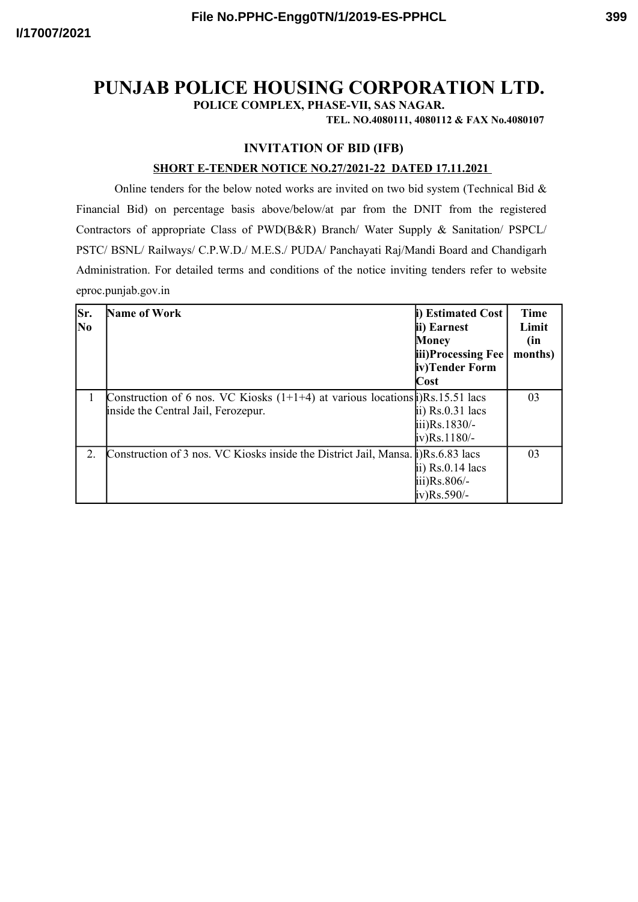**POLICE COMPLEX, PHASE-VII, SAS NAGAR.**

**TEL. NO.4080111, 4080112 & FAX No.4080107**

## **INVITATION OF BID (IFB)**

## **SHORT E-TENDER NOTICE NO.27/2021-22 DATED 17.11.2021**

Online tenders for the below noted works are invited on two bid system (Technical Bid  $\&$ Financial Bid) on percentage basis above/below/at par from the DNIT from the registered Contractors of appropriate Class of PWD(B&R) Branch/ Water Supply & Sanitation/ PSPCL/ PSTC/ BSNL/ Railways/ C.P.W.D./ M.E.S./ PUDA/ Panchayati Raj/Mandi Board and Chandigarh Administration. For detailed terms and conditions of the notice inviting tenders refer to website eproc.punjab.gov.in

| Sr.<br>N <sub>0</sub> | Name of Work                                                                                                                        | i) Estimated Cost<br>ii) Earnest<br>Money<br>iii)Processing Fee<br>iv)Tender Form    | <b>Time</b><br>Limit<br>(in<br>months) |
|-----------------------|-------------------------------------------------------------------------------------------------------------------------------------|--------------------------------------------------------------------------------------|----------------------------------------|
|                       |                                                                                                                                     | Cost                                                                                 |                                        |
|                       | Construction of 6 nos. VC Kiosks $(1+1+4)$ at various locations $\mathbf{i}$ )Rs. 15.51 lacs<br>inside the Central Jail, Ferozepur. | $\overline{p}$ ii) Rs.0.31 lacs<br>$\text{iii)}\text{Rs}.1830/-$<br>$iv)$ Rs. 1180/- | 03                                     |
| $\mathfrak{L}$        | Construction of 3 nos. VC Kiosks inside the District Jail, Mansa. [i] Rs.6.83 lacs                                                  | ii) $Rs.0.14$ lacs<br>$\text{iii)}\text{Rs}.806/-$<br>$iv)$ Rs.590/-                 | 03                                     |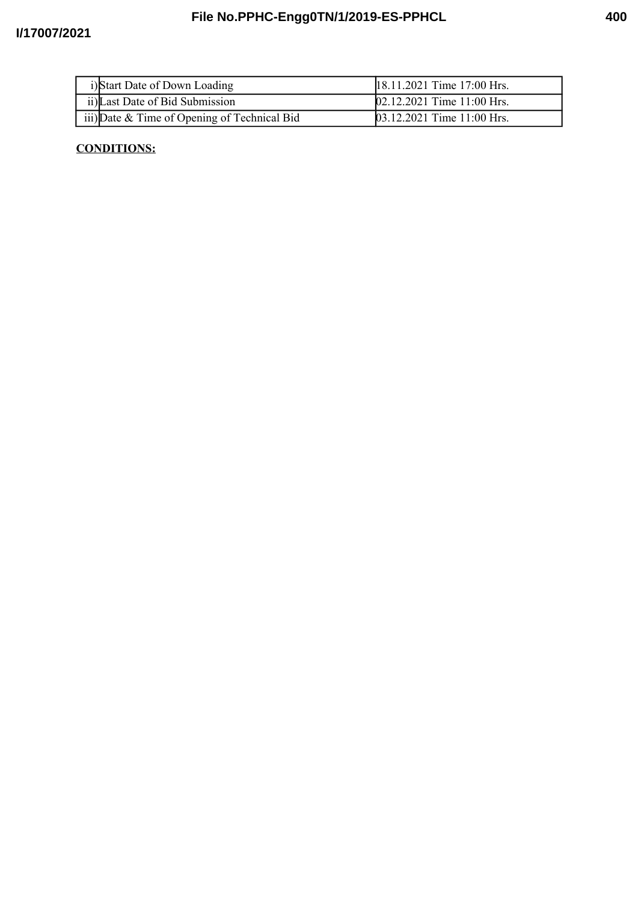| i)Start Date of Down Loading                 | 18.11.2021 Time 17:00 Hrs. |
|----------------------------------------------|----------------------------|
| ii) Last Date of Bid Submission              | 02.12.2021 Time 11:00 Hrs. |
| iii) Date & Time of Opening of Technical Bid | 03.12.2021 Time 11:00 Hrs. |

## **CONDITIONS:**